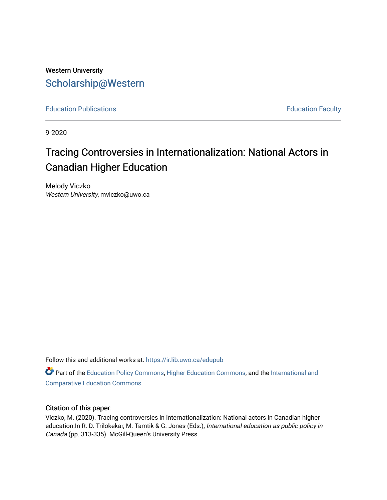## Western University [Scholarship@Western](https://ir.lib.uwo.ca/)

[Education Publications](https://ir.lib.uwo.ca/edupub) **Education** Faculty

9-2020

# Tracing Controversies in Internationalization: National Actors in Canadian Higher Education

Melody Viczko Western University, mviczko@uwo.ca

Follow this and additional works at: [https://ir.lib.uwo.ca/edupub](https://ir.lib.uwo.ca/edupub?utm_source=ir.lib.uwo.ca%2Fedupub%2F198&utm_medium=PDF&utm_campaign=PDFCoverPages) 

**Part of the [Education Policy Commons](http://network.bepress.com/hgg/discipline/1026?utm_source=ir.lib.uwo.ca%2Fedupub%2F198&utm_medium=PDF&utm_campaign=PDFCoverPages), [Higher Education Commons,](http://network.bepress.com/hgg/discipline/1245?utm_source=ir.lib.uwo.ca%2Fedupub%2F198&utm_medium=PDF&utm_campaign=PDFCoverPages) and the International and** [Comparative Education Commons](http://network.bepress.com/hgg/discipline/797?utm_source=ir.lib.uwo.ca%2Fedupub%2F198&utm_medium=PDF&utm_campaign=PDFCoverPages) 

#### Citation of this paper:

Viczko, M. (2020). Tracing controversies in internationalization: National actors in Canadian higher education.In R. D. Trilokekar, M. Tamtik & G. Jones (Eds.), International education as public policy in Canada (pp. 313-335). McGill-Queen's University Press.